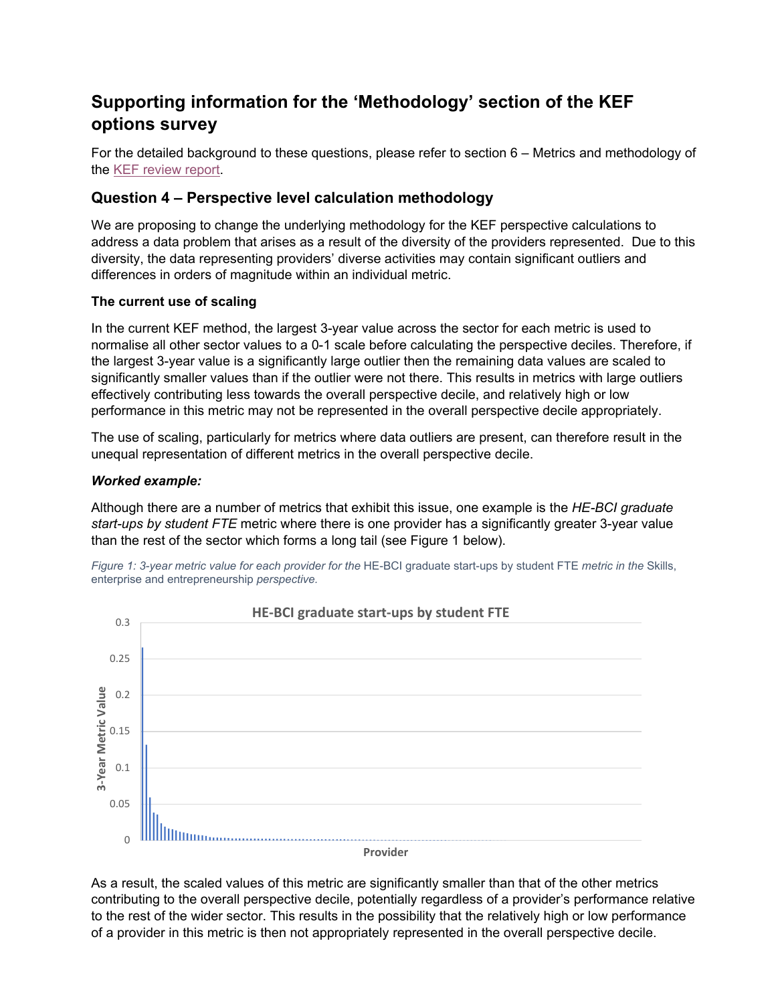# **Supporting information for the 'Methodology' section of the KEF options survey**

For the detailed background to these questions, please refer to section 6 – Metrics and methodology of the [KEF review report.](https://www.ukri.org/publications/review-of-the-first-iteration-of-the-knowledge-exchange-framework/)

# **Question 4 – Perspective level calculation methodology**

We are proposing to change the underlying methodology for the KEF perspective calculations to address a data problem that arises as a result of the diversity of the providers represented. Due to this diversity, the data representing providers' diverse activities may contain significant outliers and differences in orders of magnitude within an individual metric.

### **The current use of scaling**

In the current KEF method, the largest 3-year value across the sector for each metric is used to normalise all other sector values to a 0-1 scale before calculating the perspective deciles. Therefore, if the largest 3-year value is a significantly large outlier then the remaining data values are scaled to significantly smaller values than if the outlier were not there. This results in metrics with large outliers effectively contributing less towards the overall perspective decile, and relatively high or low performance in this metric may not be represented in the overall perspective decile appropriately.

The use of scaling, particularly for metrics where data outliers are present, can therefore result in the unequal representation of different metrics in the overall perspective decile.

### *Worked example:*

Although there are a number of metrics that exhibit this issue, one example is the *HE-BCI graduate start-ups by student FTE* metric where there is one provider has a significantly greater 3-year value than the rest of the sector which forms a long tail (see Figure 1 below).

*Figure 1: 3-year metric value for each provider for the* HE-BCI graduate start-ups by student FTE *metric in the* Skills, enterprise and entrepreneurship *perspective.*



As a result, the scaled values of this metric are significantly smaller than that of the other metrics contributing to the overall perspective decile, potentially regardless of a provider's performance relative to the rest of the wider sector. This results in the possibility that the relatively high or low performance of a provider in this metric is then not appropriately represented in the overall perspective decile.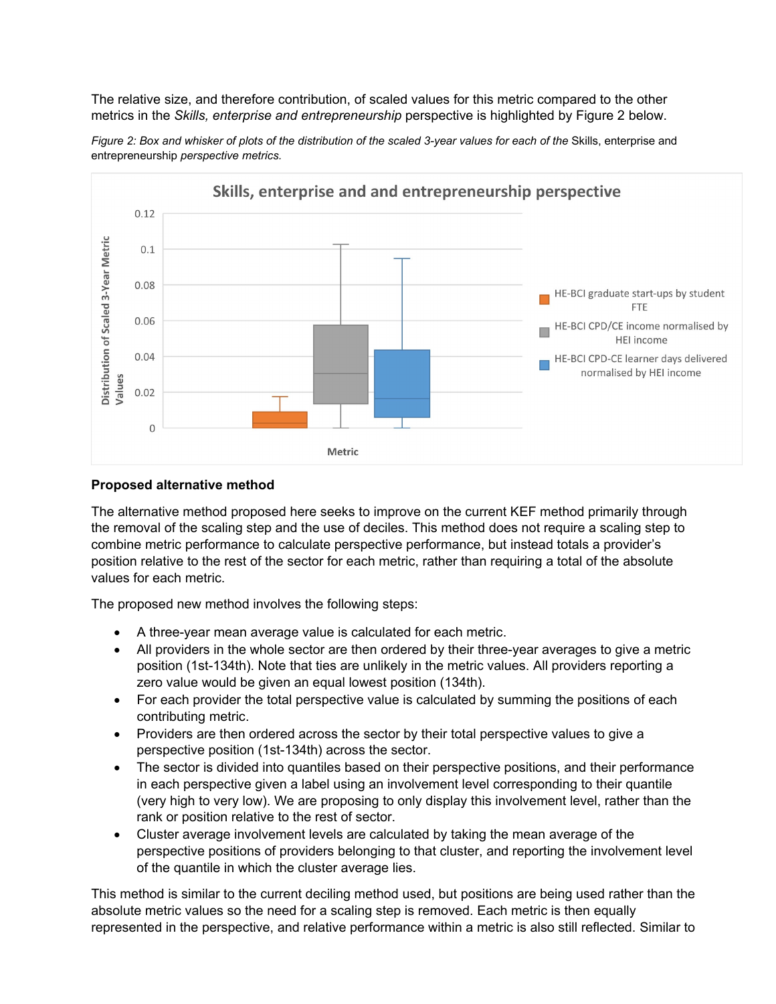The relative size, and therefore contribution, of scaled values for this metric compared to the other metrics in the *Skills, enterprise and entrepreneurship* perspective is highlighted by Figure 2 below.



*Figure 2: Box and whisker of plots of the distribution of the scaled 3-year values for each of the Skills, enterprise and* entrepreneurship *perspective metrics.*

#### **Proposed alternative method**

The alternative method proposed here seeks to improve on the current KEF method primarily through the removal of the scaling step and the use of deciles. This method does not require a scaling step to combine metric performance to calculate perspective performance, but instead totals a provider's position relative to the rest of the sector for each metric, rather than requiring a total of the absolute values for each metric.

The proposed new method involves the following steps:

- A three-year mean average value is calculated for each metric.
- All providers in the whole sector are then ordered by their three-year averages to give a metric position (1st-134th). Note that ties are unlikely in the metric values. All providers reporting a zero value would be given an equal lowest position (134th).
- For each provider the total perspective value is calculated by summing the positions of each contributing metric.
- Providers are then ordered across the sector by their total perspective values to give a perspective position (1st-134th) across the sector.
- The sector is divided into quantiles based on their perspective positions, and their performance in each perspective given a label using an involvement level corresponding to their quantile (very high to very low). We are proposing to only display this involvement level, rather than the rank or position relative to the rest of sector.
- Cluster average involvement levels are calculated by taking the mean average of the perspective positions of providers belonging to that cluster, and reporting the involvement level of the quantile in which the cluster average lies.

This method is similar to the current deciling method used, but positions are being used rather than the absolute metric values so the need for a scaling step is removed. Each metric is then equally represented in the perspective, and relative performance within a metric is also still reflected. Similar to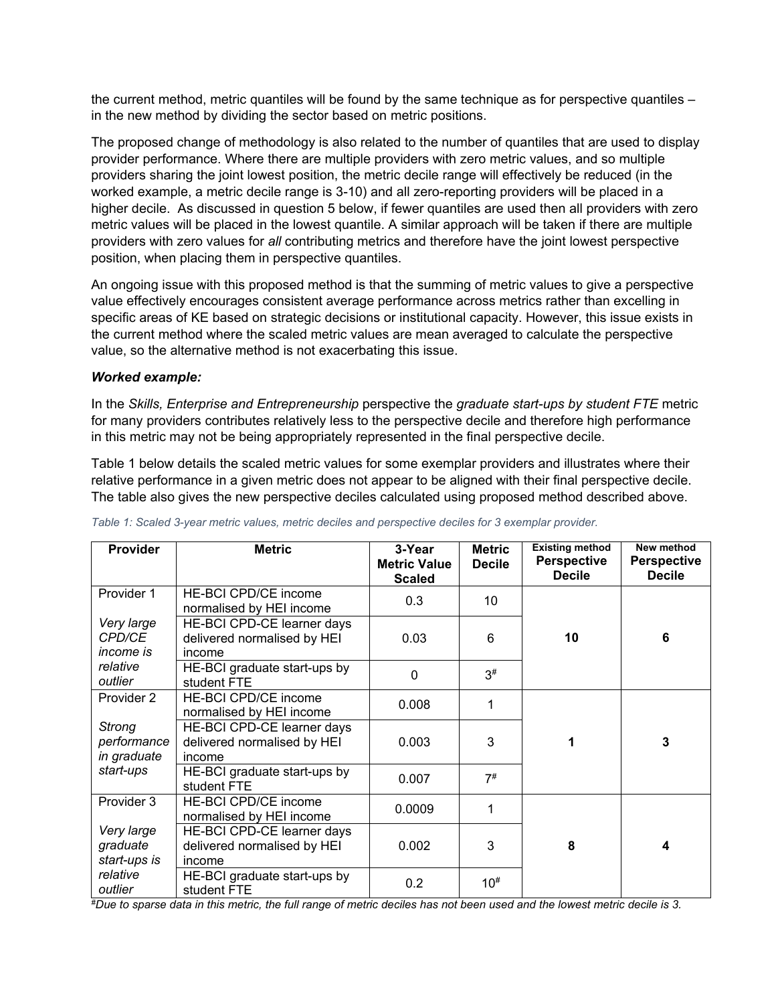the current method, metric quantiles will be found by the same technique as for perspective quantiles – in the new method by dividing the sector based on metric positions.

The proposed change of methodology is also related to the number of quantiles that are used to display provider performance. Where there are multiple providers with zero metric values, and so multiple providers sharing the joint lowest position, the metric decile range will effectively be reduced (in the worked example, a metric decile range is 3-10) and all zero-reporting providers will be placed in a higher decile. As discussed in question 5 below, if fewer quantiles are used then all providers with zero metric values will be placed in the lowest quantile. A similar approach will be taken if there are multiple providers with zero values for *all* contributing metrics and therefore have the joint lowest perspective position, when placing them in perspective quantiles.

An ongoing issue with this proposed method is that the summing of metric values to give a perspective value effectively encourages consistent average performance across metrics rather than excelling in specific areas of KE based on strategic decisions or institutional capacity. However, this issue exists in the current method where the scaled metric values are mean averaged to calculate the perspective value, so the alternative method is not exacerbating this issue.

#### *Worked example:*

In the *Skills, Enterprise and Entrepreneurship* perspective the *graduate start-ups by student FTE* metric for many providers contributes relatively less to the perspective decile and therefore high performance in this metric may not be being appropriately represented in the final perspective decile.

Table 1 below details the scaled metric values for some exemplar providers and illustrates where their relative performance in a given metric does not appear to be aligned with their final perspective decile. The table also gives the new perspective deciles calculated using proposed method described above.

| <b>Provider</b>                                               | <b>Metric</b>                                                       | 3-Year<br><b>Metric Value</b><br><b>Scaled</b> | <b>Metric</b><br><b>Decile</b> | <b>Existing method</b><br><b>Perspective</b><br><b>Decile</b> | New method<br><b>Perspective</b><br><b>Decile</b> |
|---------------------------------------------------------------|---------------------------------------------------------------------|------------------------------------------------|--------------------------------|---------------------------------------------------------------|---------------------------------------------------|
| Provider 1                                                    | HE-BCI CPD/CE income<br>normalised by HEI income                    | 0.3                                            | 10                             |                                                               | 6                                                 |
| Very large<br><b>CPD/CE</b><br>income is                      | HE-BCI CPD-CE learner days<br>delivered normalised by HEI<br>income | 0.03                                           | 6                              | 10                                                            |                                                   |
| relative<br>outlier                                           | HE-BCI graduate start-ups by<br>student FTE                         | $\overline{0}$                                 | $3\#$                          |                                                               |                                                   |
| Provider 2<br><b>Strong</b><br>performance<br>in graduate     | <b>HE-BCI CPD/CE income</b><br>normalised by HEI income             | 0.008                                          | 1                              |                                                               |                                                   |
|                                                               | HE-BCI CPD-CE learner days<br>delivered normalised by HEI<br>income | 0.003                                          | 3                              | 1                                                             | 3                                                 |
| start-ups                                                     | HE-BCI graduate start-ups by<br>student FTE                         | 0.007                                          | 7#                             |                                                               |                                                   |
| Provider 3                                                    | HE-BCI CPD/CE income<br>normalised by HEI income                    | 0.0009                                         | 1                              |                                                               |                                                   |
| Very large<br>graduate<br>start-ups is<br>relative<br>outlier | HE-BCI CPD-CE learner days<br>delivered normalised by HEI<br>income | 0.002                                          | 3                              | 8                                                             | 4                                                 |
|                                                               | HE-BCI graduate start-ups by<br>student FTE                         | 0.2                                            | $10^{#}$                       |                                                               |                                                   |

*Table 1: Scaled 3-year metric values, metric deciles and perspective deciles for 3 exemplar provider.*

*#Due to sparse data in this metric, the full range of metric deciles has not been used and the lowest metric decile is 3.*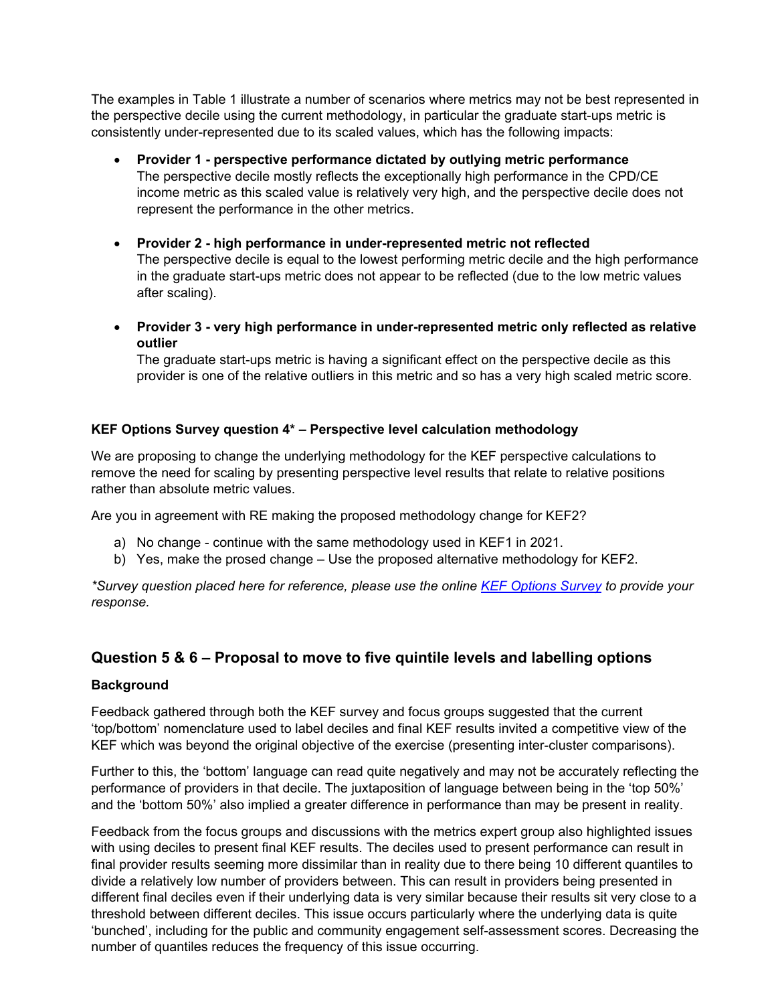The examples in Table 1 illustrate a number of scenarios where metrics may not be best represented in the perspective decile using the current methodology, in particular the graduate start-ups metric is consistently under-represented due to its scaled values, which has the following impacts:

- **Provider 1 - perspective performance dictated by outlying metric performance** The perspective decile mostly reflects the exceptionally high performance in the CPD/CE income metric as this scaled value is relatively very high, and the perspective decile does not represent the performance in the other metrics.
- **Provider 2 - high performance in under-represented metric not reflected** The perspective decile is equal to the lowest performing metric decile and the high performance in the graduate start-ups metric does not appear to be reflected (due to the low metric values after scaling).
- **Provider 3 - very high performance in under-represented metric only reflected as relative outlier**

The graduate start-ups metric is having a significant effect on the perspective decile as this provider is one of the relative outliers in this metric and so has a very high scaled metric score.

## **KEF Options Survey question 4\* – Perspective level calculation methodology**

We are proposing to change the underlying methodology for the KEF perspective calculations to remove the need for scaling by presenting perspective level results that relate to relative positions rather than absolute metric values.

Are you in agreement with RE making the proposed methodology change for KEF2?

- a) No change continue with the same methodology used in KEF1 in 2021.
- b) Yes, make the prosed change Use the proposed alternative methodology for KEF2.

*\*Survey question placed here for reference, please use the online [KEF Options Survey](https://www.surveymonkey.co.uk/r/KEFoptions2022) to provide your response.*

# **Question 5 & 6 – Proposal to move to five quintile levels and labelling options**

### **Background**

Feedback gathered through both the KEF survey and focus groups suggested that the current 'top/bottom' nomenclature used to label deciles and final KEF results invited a competitive view of the KEF which was beyond the original objective of the exercise (presenting inter-cluster comparisons).

Further to this, the 'bottom' language can read quite negatively and may not be accurately reflecting the performance of providers in that decile. The juxtaposition of language between being in the 'top 50%' and the 'bottom 50%' also implied a greater difference in performance than may be present in reality.

Feedback from the focus groups and discussions with the metrics expert group also highlighted issues with using deciles to present final KEF results. The deciles used to present performance can result in final provider results seeming more dissimilar than in reality due to there being 10 different quantiles to divide a relatively low number of providers between. This can result in providers being presented in different final deciles even if their underlying data is very similar because their results sit very close to a threshold between different deciles. This issue occurs particularly where the underlying data is quite 'bunched', including for the public and community engagement self-assessment scores. Decreasing the number of quantiles reduces the frequency of this issue occurring.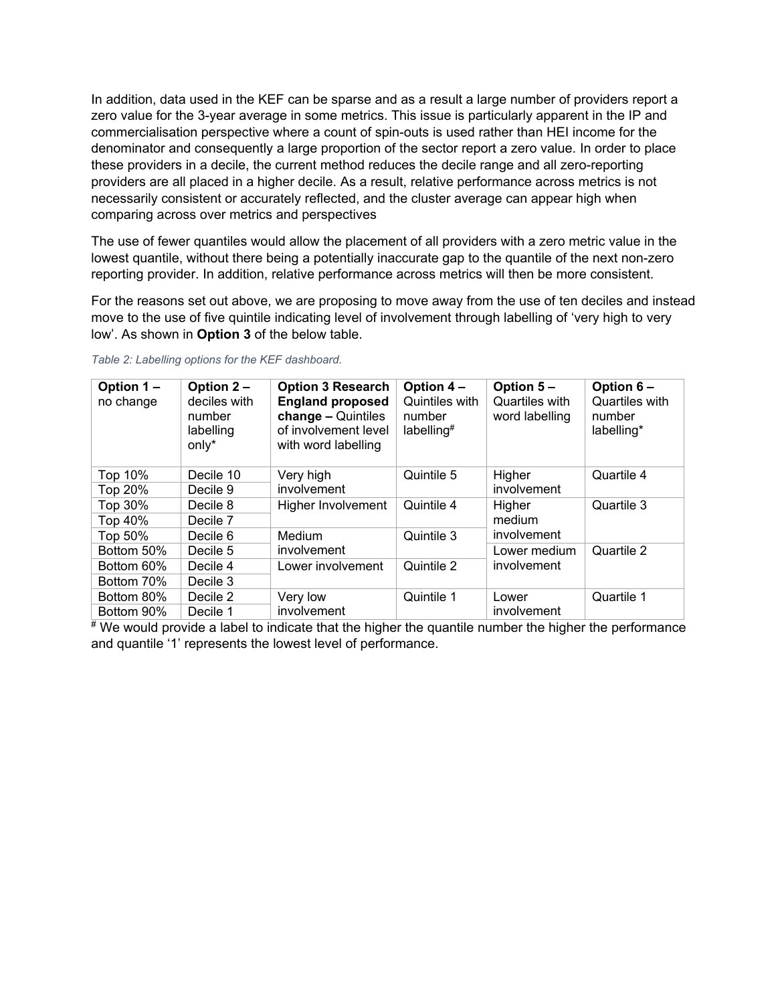In addition, data used in the KEF can be sparse and as a result a large number of providers report a zero value for the 3-year average in some metrics. This issue is particularly apparent in the IP and commercialisation perspective where a count of spin-outs is used rather than HEI income for the denominator and consequently a large proportion of the sector report a zero value. In order to place these providers in a decile, the current method reduces the decile range and all zero-reporting providers are all placed in a higher decile. As a result, relative performance across metrics is not necessarily consistent or accurately reflected, and the cluster average can appear high when comparing across over metrics and perspectives

The use of fewer quantiles would allow the placement of all providers with a zero metric value in the lowest quantile, without there being a potentially inaccurate gap to the quantile of the next non-zero reporting provider. In addition, relative performance across metrics will then be more consistent.

For the reasons set out above, we are proposing to move away from the use of ten deciles and instead move to the use of five quintile indicating level of involvement through labelling of 'very high to very low'. As shown in **Option 3** of the below table.

| Option 1-<br>no change | Option 2 -<br>deciles with<br>number<br>labelling<br>$only*$ | <b>Option 3 Research</b><br><b>England proposed</b><br>change - Quintiles<br>of involvement level<br>with word labelling | Option 4-<br>Quintiles with<br>number<br>labelling <sup>#</sup> | Option 5-<br>Quartiles with<br>word labelling | Option 6-<br>Quartiles with<br>number<br>labelling* |
|------------------------|--------------------------------------------------------------|--------------------------------------------------------------------------------------------------------------------------|-----------------------------------------------------------------|-----------------------------------------------|-----------------------------------------------------|
| Top 10%                | Decile 10                                                    | Quintile 5<br>Very high                                                                                                  | Higher                                                          | Quartile 4                                    |                                                     |
| Top 20%                | Decile 9                                                     | involvement                                                                                                              |                                                                 | involvement                                   |                                                     |
| Top 30%                | Decile 8                                                     | Higher Involvement                                                                                                       | Quintile 4                                                      | Higher<br>medium<br>involvement               | Quartile 3                                          |
| Top 40%                | Decile 7                                                     |                                                                                                                          |                                                                 |                                               |                                                     |
| Top 50%                | Decile 6                                                     | Medium                                                                                                                   | Quintile 3                                                      |                                               |                                                     |
| Bottom 50%             | Decile 5                                                     | involvement                                                                                                              |                                                                 | Lower medium<br>involvement                   | Quartile 2                                          |
| Bottom 60%             | Decile 4                                                     | Lower involvement                                                                                                        | Quintile 2                                                      |                                               |                                                     |
| Bottom 70%             | Decile 3                                                     |                                                                                                                          |                                                                 |                                               |                                                     |
| Bottom 80%             | Decile 2                                                     | Very low                                                                                                                 | Quintile 1                                                      | Lower<br>involvement                          | Quartile 1                                          |
| Bottom 90%             | Decile 1                                                     | involvement                                                                                                              |                                                                 |                                               |                                                     |

#### *Table 2: Labelling options for the KEF dashboard.*

 $\overline{f}$  We would provide a label to indicate that the higher the quantile number the higher the performance and quantile '1' represents the lowest level of performance.